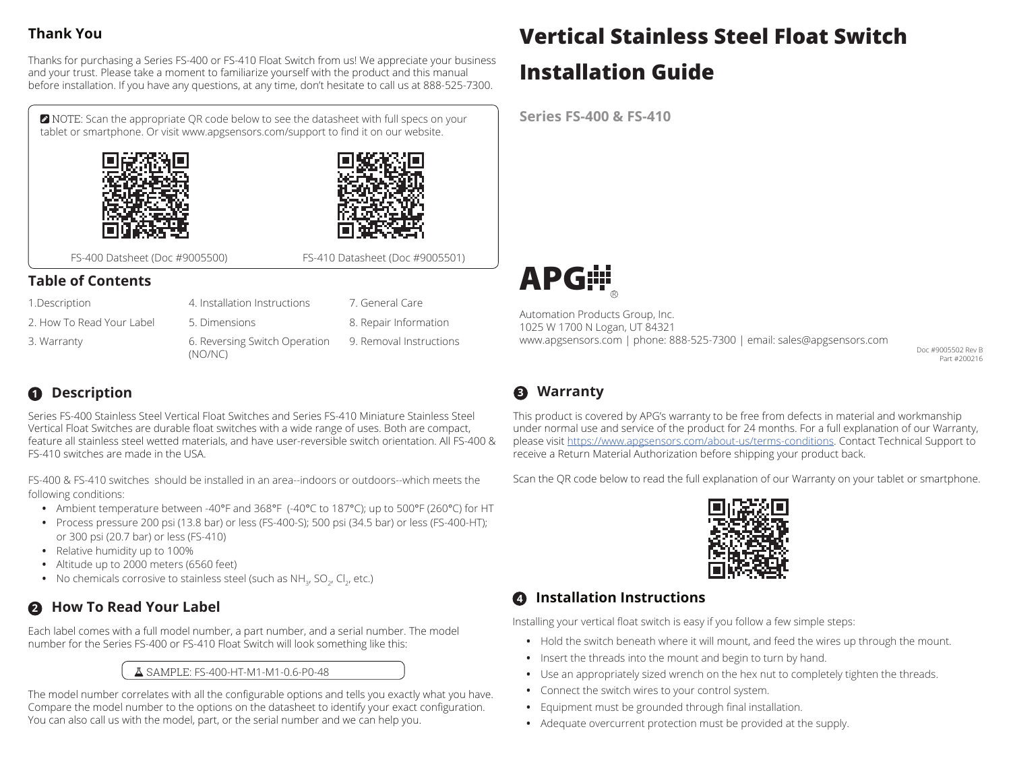# **Thank You**

Thanks for purchasing a Series FS-400 or FS-410 Float Switch from us! We appreciate your business and your trust. Please take a moment to familiarize yourself with the product and this manual before installation. If you have any questions, at any time, don't hesitate to call us at 888-525-7300.

 NOTE: Scan the appropriate QR code below to see the datasheet with full specs on your tablet or smartphone. Or visit www.apgsensors.com/support to find it on our website.





FS-400 Datsheet (Doc #9005500) FS-410 Datasheet (Doc #9005501)

### **Table of Contents**

| 1. Description            | 4. Installation Instructions             | 7. General Care         |
|---------------------------|------------------------------------------|-------------------------|
| 2. How To Read Your Label | 5. Dimensions                            | 8. Repair Information   |
| 3. Warranty               | 6. Reversing Switch Operation<br>(NO/NC) | 9. Removal Instructions |

# **1 Description**

Series FS-400 Stainless Steel Vertical Float Switches and Series FS-410 Miniature Stainless Steel Vertical Float Switches are durable float switches with a wide range of uses. Both are compact, feature all stainless steel wetted materials, and have user-reversible switch orientation. All FS-400 & FS-410 switches are made in the USA.

FS-400 & FS-410 switches should be installed in an area--indoors or outdoors--which meets the following conditions:

- **•** Ambient temperature between -40°F and 368°F (-40°C to 187°C); up to 500°F (260°C) for HT
- **•** Process pressure 200 psi (13.8 bar) or less (FS-400-S); 500 psi (34.5 bar) or less (FS-400-HT); or 300 psi (20.7 bar) or less (FS-410)
- **•** Relative humidity up to 100%
- **•** Altitude up to 2000 meters (6560 feet)
- $\bullet$   $\,$  No chemicals corrosive to stainless steel (such as NH $_{_3'}$  SO $_{_{2'}}$  Cl $_{_{2'}}$  etc.)

# **2 How To Read Your Label**

Each label comes with a full model number, a part number, and a serial number. The model number for the Series FS-400 or FS-410 Float Switch will look something like this:

#### SAMPLE: FS-400-HT-M1-M1-0.6-P0-48

The model number correlates with all the configurable options and tells you exactly what you have. Compare the model number to the options on the datasheet to identify your exact configuration. You can also call us with the model, part, or the serial number and we can help you.

# **Vertical Stainless Steel Float Switch**

# **Installation Guide**

**Series FS-400 & FS-410**



Automation Products Group, Inc. 1025 W 1700 N Logan, UT 84321 www.apgsensors.com | phone: 888-525-7300 | email: sales@apgsensors.com

Doc #9005502 Rev B Part #200216

# **3 Warranty**

This product is covered by APG's warranty to be free from defects in material and workmanship under normal use and service of the product for 24 months. For a full explanation of our Warranty, please visit https://www.apgsensors.com/about-us/terms-conditions. Contact Technical Support to receive a Return Material Authorization before shipping your product back.

Scan the QR code below to read the full explanation of our Warranty on your tablet or smartphone.



# **4 Installation Instructions**

Installing your vertical float switch is easy if you follow a few simple steps:

- **•** Hold the switch beneath where it will mount, and feed the wires up through the mount.
- **•** Insert the threads into the mount and begin to turn by hand.
- **•** Use an appropriately sized wrench on the hex nut to completely tighten the threads.
- **•** Connect the switch wires to your control system.
- **•** Equipment must be grounded through final installation.
- **•** Adequate overcurrent protection must be provided at the supply.